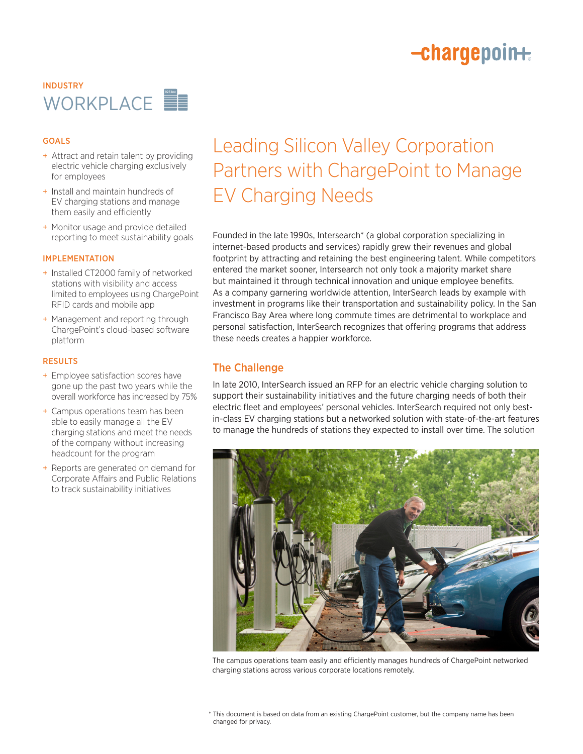# -chargepoin+

## INDUSTRY WORKPLACE

### GOALS

- + Attract and retain talent by providing electric vehicle charging exclusively for employees
- + Install and maintain hundreds of EV charging stations and manage them easily and efficiently
- + Monitor usage and provide detailed reporting to meet sustainability goals

#### IMPLEMENTATION

- + Installed CT2000 family of networked stations with visibility and access limited to employees using ChargePoint RFID cards and mobile app
- + Management and reporting through ChargePoint's cloud-based software platform

#### RESULTS

- + Employee satisfaction scores have gone up the past two years while the overall workforce has increased by 75%
- + Campus operations team has been able to easily manage all the EV charging stations and meet the needs of the company without increasing headcount for the program
- + Reports are generated on demand for Corporate Affairs and Public Relations to track sustainability initiatives

# Leading Silicon Valley Corporation Partners with ChargePoint to Manage EV Charging Needs

Founded in the late 1990s, Intersearch\* (a global corporation specializing in internet-based products and services) rapidly grew their revenues and global footprint by attracting and retaining the best engineering talent. While competitors entered the market sooner, Intersearch not only took a majority market share but maintained it through technical innovation and unique employee benefits. As a company garnering worldwide attention, InterSearch leads by example with investment in programs like their transportation and sustainability policy. In the San Francisco Bay Area where long commute times are detrimental to workplace and personal satisfaction, InterSearch recognizes that offering programs that address these needs creates a happier workforce.

## The Challenge

In late 2010, InterSearch issued an RFP for an electric vehicle charging solution to support their sustainability initiatives and the future charging needs of both their electric fleet and employees' personal vehicles. InterSearch required not only bestin-class EV charging stations but a networked solution with state-of-the-art features to manage the hundreds of stations they expected to install over time. The solution



The campus operations team easily and efficiently manages hundreds of ChargePoint networked charging stations across various corporate locations remotely.

<sup>\*</sup> This document is based on data from an existing ChargePoint customer, but the company name has been changed for privacy.